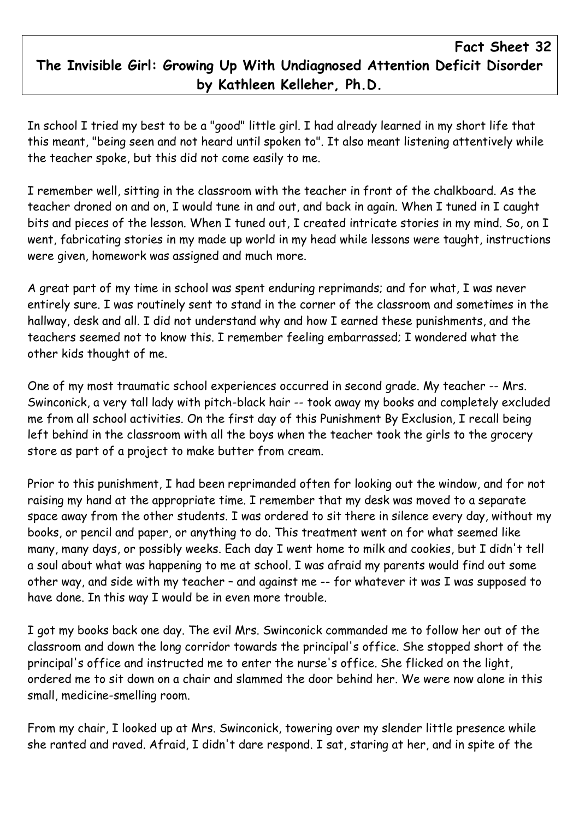## Fact Sheet 32 The Invisible Girl: Growing Up With Undiagnosed Attention Deficit Disorder by Kathleen Kelleher, Ph.D.

In school I tried my best to be a "good" little girl. I had already learned in my short life that this meant, "being seen and not heard until spoken to". It also meant listening attentively while the teacher spoke, but this did not come easily to me.

I remember well, sitting in the classroom with the teacher in front of the chalkboard. As the teacher droned on and on, I would tune in and out, and back in again. When I tuned in I caught bits and pieces of the lesson. When I tuned out, I created intricate stories in my mind. So, on I went, fabricating stories in my made up world in my head while lessons were taught, instructions were given, homework was assigned and much more.

A great part of my time in school was spent enduring reprimands; and for what, I was never entirely sure. I was routinely sent to stand in the corner of the classroom and sometimes in the hallway, desk and all. I did not understand why and how I earned these punishments, and the teachers seemed not to know this. I remember feeling embarrassed; I wondered what the other kids thought of me.

One of my most traumatic school experiences occurred in second grade. My teacher -- Mrs. Swinconick, a very tall lady with pitch-black hair -- took away my books and completely excluded me from all school activities. On the first day of this Punishment By Exclusion, I recall being left behind in the classroom with all the boys when the teacher took the girls to the grocery store as part of a project to make butter from cream.

Prior to this punishment, I had been reprimanded often for looking out the window, and for not raising my hand at the appropriate time. I remember that my desk was moved to a separate space away from the other students. I was ordered to sit there in silence every day, without my books, or pencil and paper, or anything to do. This treatment went on for what seemed like many, many days, or possibly weeks. Each day I went home to milk and cookies, but I didn't tell a soul about what was happening to me at school. I was afraid my parents would find out some other way, and side with my teacher – and against me -- for whatever it was I was supposed to have done. In this way I would be in even more trouble.

I got my books back one day. The evil Mrs. Swinconick commanded me to follow her out of the classroom and down the long corridor towards the principal's office. She stopped short of the principal's office and instructed me to enter the nurse's office. She flicked on the light, ordered me to sit down on a chair and slammed the door behind her. We were now alone in this small, medicine-smelling room.

From my chair, I looked up at Mrs. Swinconick, towering over my slender little presence while she ranted and raved. Afraid, I didn't dare respond. I sat, staring at her, and in spite of the